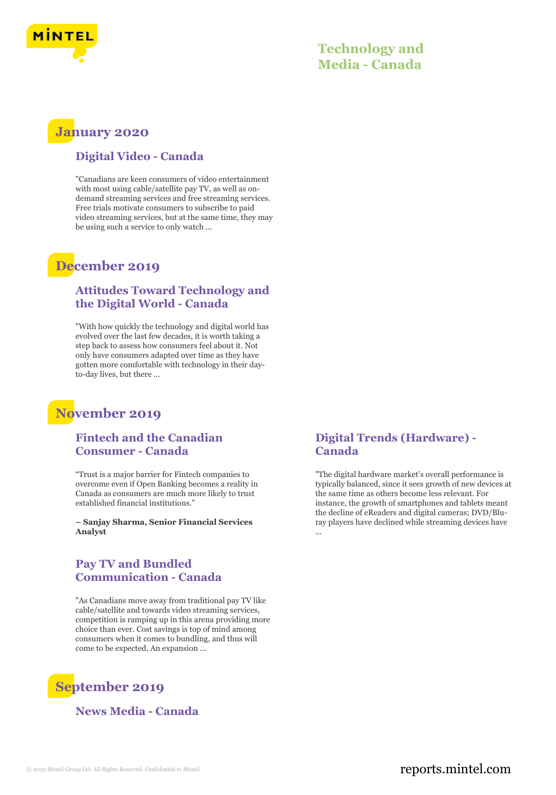

### **Technology and Media - Canada**

### **January 2020**

#### **Digital Video - Canada**

"Canadians are keen consumers of video entertainment with most using cable/satellite pay TV, as well as ondemand streaming services and free streaming services. Free trials motivate consumers to subscribe to paid video streaming services, but at the same time, they may be using such a service to only watch ...

### **December 2019**

#### **Attitudes Toward Technology and the Digital World - Canada**

"With how quickly the technology and digital world has evolved over the last few decades, it is worth taking a step back to assess how consumers feel about it. Not only have consumers adapted over time as they have gotten more comfortable with technology in their dayto-day lives, but there ...

### **November 2019**

#### **Fintech and the Canadian Consumer - Canada**

"Trust is a major barrier for Fintech companies to overcome even if Open Banking becomes a reality in Canada as consumers are much more likely to trust established financial institutions."

**– Sanjay Sharma, Senior Financial Services Analyst**

### **Pay TV and Bundled Communication - Canada**

"As Canadians move away from traditional pay TV like cable/satellite and towards video streaming services, competition is ramping up in this arena providing more choice than ever. Cost savings is top of mind among consumers when it comes to bundling, and thus will come to be expected. An expansion ...

## **September 2019**

**News Media - Canada**

### **Digital Trends (Hardware) - Canada**

"The digital hardware market's overall performance is typically balanced, since it sees growth of new devices at the same time as others become less relevant. For instance, the growth of smartphones and tablets meant the decline of eReaders and digital cameras; DVD/Bluray players have declined while streaming devices have ...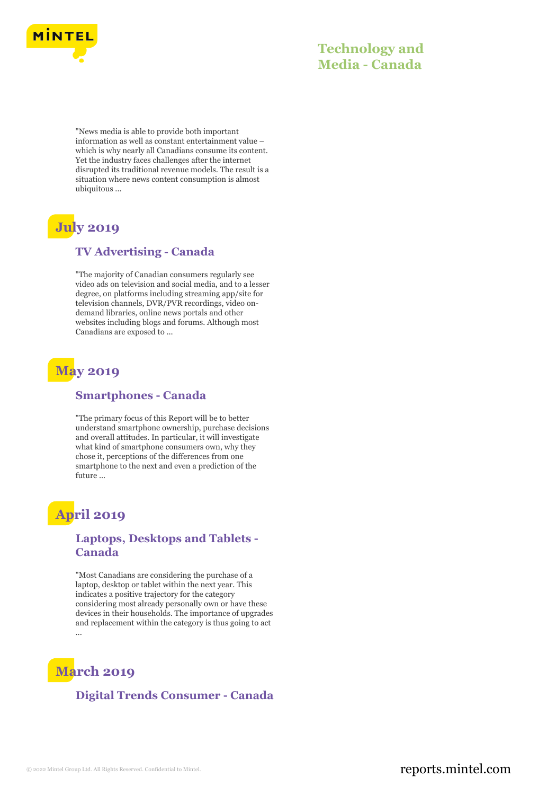

### **Technology and Media - Canada**

"News media is able to provide both important information as well as constant entertainment value – which is why nearly all Canadians consume its content. Yet the industry faces challenges after the internet disrupted its traditional revenue models. The result is a situation where news content consumption is almost ubiquitous ...

# **July 2019**

#### **TV Advertising - Canada**

"The majority of Canadian consumers regularly see video ads on television and social media, and to a lesser degree, on platforms including streaming app/site for television channels, DVR/PVR recordings, video ondemand libraries, online news portals and other websites including blogs and forums. Although most Canadians are exposed to ...

## **May 2019**

#### **Smartphones - Canada**

"The primary focus of this Report will be to better understand smartphone ownership, purchase decisions and overall attitudes. In particular, it will investigate what kind of smartphone consumers own, why they chose it, perceptions of the differences from one smartphone to the next and even a prediction of the future ...

## **April 2019**

#### **Laptops, Desktops and Tablets - Canada**

"Most Canadians are considering the purchase of a laptop, desktop or tablet within the next year. This indicates a positive trajectory for the category considering most already personally own or have these devices in their households. The importance of upgrades and replacement within the category is thus going to act ...

## **March 2019**

#### **Digital Trends Consumer - Canada**